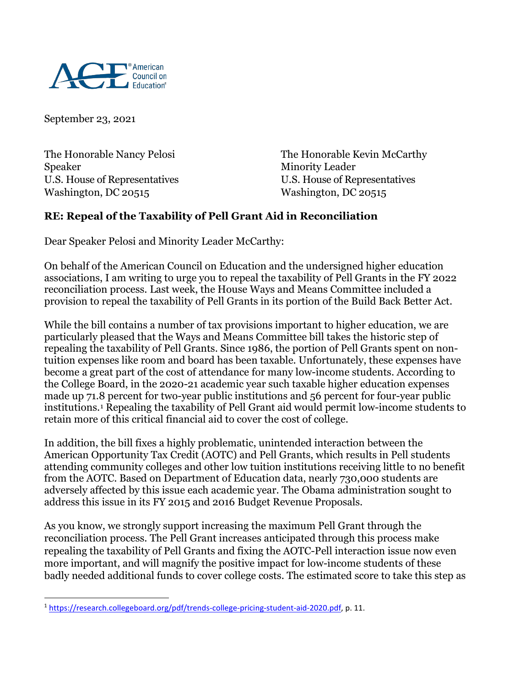

September 23, 2021

Speaker Minority Leader U.S. House of Representatives U.S. House of Representatives Washington, DC 20515

The Honorable Nancy Pelosi The Honorable Kevin McCarthy

## **RE: Repeal of the Taxability of Pell Grant Aid in Reconciliation**

Dear Speaker Pelosi and Minority Leader McCarthy:

On behalf of the American Council on Education and the undersigned higher education associations, I am writing to urge you to repeal the taxability of Pell Grants in the FY 2022 reconciliation process. Last week, the House Ways and Means Committee included a provision to repeal the taxability of Pell Grants in its portion of the Build Back Better Act.

While the bill contains a number of tax provisions important to higher education, we are particularly pleased that the Ways and Means Committee bill takes the historic step of repealing the taxability of Pell Grants. Since 1986, the portion of Pell Grants spent on nontuition expenses like room and board has been taxable. Unfortunately, these expenses have become a great part of the cost of attendance for many low-income students. According to the College Board, in the 2020-21 academic year such taxable higher education expenses made up 71.8 percent for two-year public institutions and 56 percent for four-year public institutions.[1](#page-0-0) Repealing the taxability of Pell Grant aid would permit low-income students to retain more of this critical financial aid to cover the cost of college.

In addition, the bill fixes a highly problematic, unintended interaction between the American Opportunity Tax Credit (AOTC) and Pell Grants, which results in Pell students attending community colleges and other low tuition institutions receiving little to no benefit from the AOTC. Based on Department of Education data, nearly 730,000 students are adversely affected by this issue each academic year. The Obama administration sought to address this issue in its FY 2015 and 2016 Budget Revenue Proposals.

As you know, we strongly support increasing the maximum Pell Grant through the reconciliation process. The Pell Grant increases anticipated through this process make repealing the taxability of Pell Grants and fixing the AOTC-Pell interaction issue now even more important, and will magnify the positive impact for low-income students of these badly needed additional funds to cover college costs. The estimated score to take this step as

<span id="page-0-0"></span><sup>&</sup>lt;sup>1</sup> [https://research.collegeboard.org/pdf/trends-college-pricing-student-aid-2020.pdf,](https://research.collegeboard.org/pdf/trends-college-pricing-student-aid-2020.pdf) p. 11.